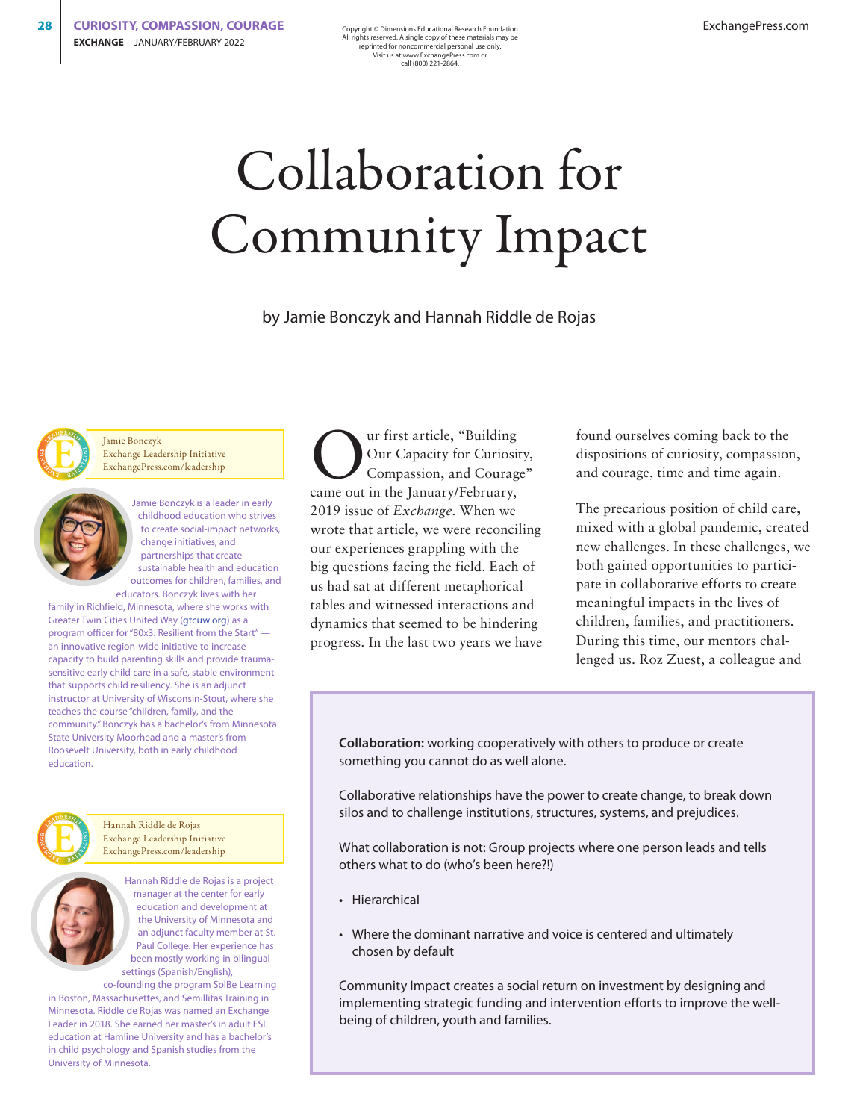Copyright © Dimensions Educational Research Foundation All rights reserved. A single copy of these materials may be reprinted for noncommercial personal use only. Visit us at www.ExchangePress.com or call (800) 221-2864.

# Collaboration for Community Impact

by Jamie Bonczyk and Hannah Riddle de Rojas



Jamie Bonczyk Exchange Leadership Initiative ExchangePress.com/leadership



Jamie Bonczyk is a leader in early childhood education who strives to create social-impact networks, change initiatives, and partnerships that create sustainable health and education outcomes for children, families, and educators. Bonczyk lives with her

family in Richfield, Minnesota, where she works with Greater Twin Cities United Way ([gtcuw.org\)](http://gtcuw.org) as a program officer for "80x3: Resilient from the Start" an innovative region-wide initiative to increase capacity to build parenting skills and provide traumasensitive early child care in a safe, stable environment that supports child resiliency. She is an adjunct instructor at University of Wisconsin-Stout, where she teaches the course "children, family, and the community." Bonczyk has a bachelor's from Minnesota State University Moorhead and a master's from Roosevelt University, both in early childhood education.



Hannah Riddle de Rojas Exchange Leadership Initiative ExchangePress.com/leadership

> Hannah Riddle de Rojas is a project manager at the center for early education and development at the University of Minnesota and an adjunct faculty member at St. Paul College. Her experience has been mostly working in bilingual settings (Spanish/English),

co-founding the program SolBe Learning in Boston, Massachusettes, and Semillitas Training in Minnesota. Riddle de Rojas was named an Exchange Leader in 2018. She earned her master's in adult ESL education at Hamline University and has a bachelor's in child psychology and Spanish studies from the University of Minnesota.

Our first article, "Building<br>
Our Capacity for Curiosity,<br>
Compassion, and Courage" Our Capacity for Curiosity, came out in the January/February, 2019 issue of *Exchange*. When we wrote that article, we were reconciling our experiences grappling with the big questions facing the field. Each of us had sat at different metaphorical tables and witnessed interactions and dynamics that seemed to be hindering progress. In the last two years we have

found ourselves coming back to the dispositions of curiosity, compassion, and courage, time and time again.

The precarious position of child care, mixed with a global pandemic, created new challenges. In these challenges, we both gained opportunities to participate in collaborative efforts to create meaningful impacts in the lives of children, families, and practitioners. During this time, our mentors challenged us. Roz Zuest, a colleague and

**Collaboration:** working cooperatively with others to produce or create something you cannot do as well alone.

Collaborative relationships have the power to create change, to break down silos and to challenge institutions, structures, systems, and prejudices.

What collaboration is not: Group projects where one person leads and tells others what to do (who's been here?!)

- Hierarchical
- Where the dominant narrative and voice is centered and ultimately chosen by default

Community Impact creates a social return on investment by designing and implementing strategic funding and intervention efforts to improve the wellbeing of children, youth and families.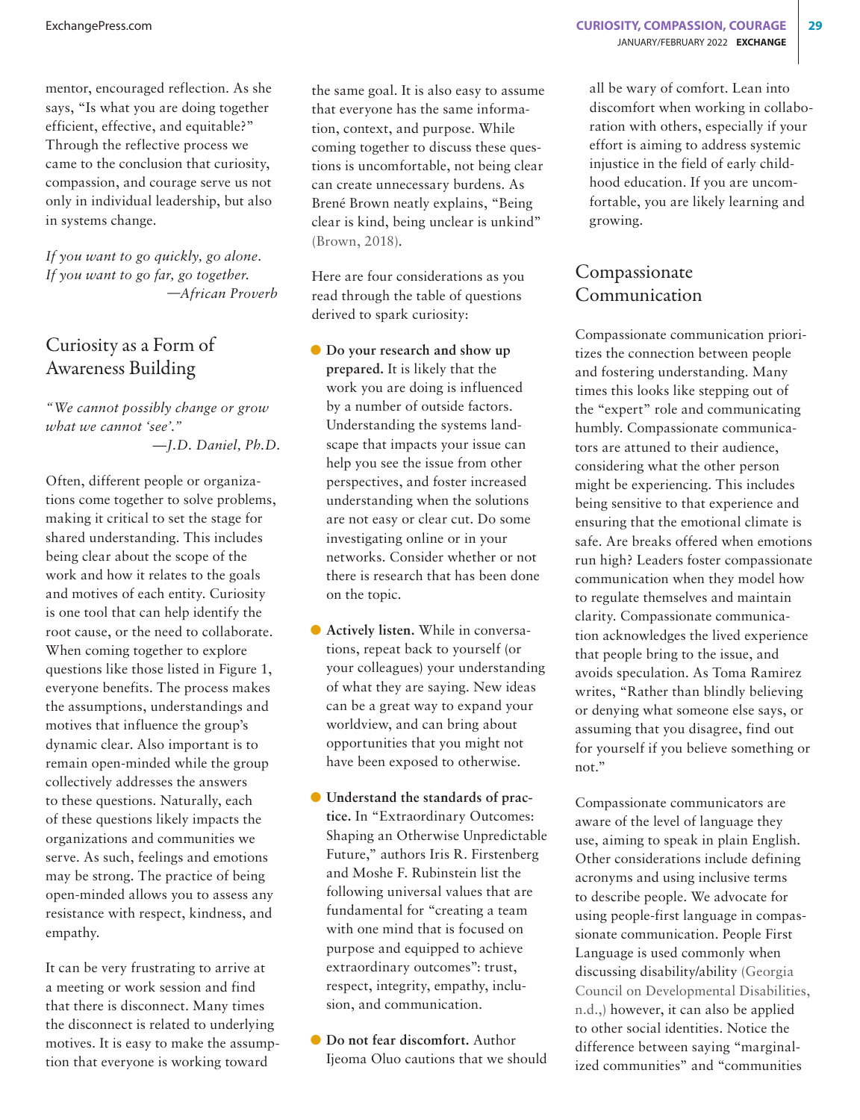mentor, encouraged reflection. As she says, "Is what you are doing together efficient, effective, and equitable?" Through the reflective process we came to the conclusion that curiosity, compassion, and courage serve us not only in individual leadership, but also in systems change.

*If you want to go quickly, go alone. If you want to go far, go together. —African Proverb*

### Curiosity as a Form of Awareness Building

*"We cannot possibly change or grow what we cannot 'see'." —J.D. Daniel, Ph.D.*

Often, different people or organizations come together to solve problems, making it critical to set the stage for shared understanding. This includes being clear about the scope of the work and how it relates to the goals and motives of each entity. Curiosity is one tool that can help identify the root cause, or the need to collaborate. When coming together to explore questions like those listed in Figure 1, everyone benefits. The process makes the assumptions, understandings and motives that influence the group's dynamic clear. Also important is to remain open-minded while the group collectively addresses the answers to these questions. Naturally, each of these questions likely impacts the organizations and communities we serve. As such, feelings and emotions may be strong. The practice of being open-minded allows you to assess any resistance with respect, kindness, and empathy.

It can be very frustrating to arrive at a meeting or work session and find that there is disconnect. Many times the disconnect is related to underlying motives. It is easy to make the assumption that everyone is working toward

the same goal. It is also easy to assume that everyone has the same information, context, and purpose. While coming together to discuss these questions is uncomfortable, not being clear can create unnecessary burdens. As Brené Brown neatly explains, "Being clear is kind, being unclear is unkind" (Brown, 2018).

Here are four considerations as you read through the table of questions derived to spark curiosity:

- **O** Do your research and show up **prepared.** It is likely that the work you are doing is influenced by a number of outside factors. Understanding the systems landscape that impacts your issue can help you see the issue from other perspectives, and foster increased understanding when the solutions are not easy or clear cut. Do some investigating online or in your networks. Consider whether or not there is research that has been done on the topic.
- D **Actively listen.** While in conversations, repeat back to yourself (or your colleagues) your understanding of what they are saying. New ideas can be a great way to expand your worldview, and can bring about opportunities that you might not have been exposed to otherwise.
- D **Understand the standards of practice.** In "Extraordinary Outcomes: Shaping an Otherwise Unpredictable Future," authors Iris R. Firstenberg and Moshe F. Rubinstein list the following universal values that are fundamental for "creating a team with one mind that is focused on purpose and equipped to achieve extraordinary outcomes": trust, respect, integrity, empathy, inclusion, and communication.
- $\bullet$  Do not fear discomfort. Author Ijeoma Oluo cautions that we should

all be wary of comfort. Lean into discomfort when working in collaboration with others, especially if your effort is aiming to address systemic injustice in the field of early childhood education. If you are uncomfortable, you are likely learning and growing.

## Compassionate Communication

Compassionate communication prioritizes the connection between people and fostering understanding. Many times this looks like stepping out of the "expert" role and communicating humbly. Compassionate communicators are attuned to their audience, considering what the other person might be experiencing. This includes being sensitive to that experience and ensuring that the emotional climate is safe. Are breaks offered when emotions run high? Leaders foster compassionate communication when they model how to regulate themselves and maintain clarity. Compassionate communication acknowledges the lived experience that people bring to the issue, and avoids speculation. As Toma Ramirez writes, "Rather than blindly believing or denying what someone else says, or assuming that you disagree, find out for yourself if you believe something or not."

Compassionate communicators are aware of the level of language they use, aiming to speak in plain English. Other considerations include defining acronyms and using inclusive terms to describe people. We advocate for using people-first language in compassionate communication. People First Language is used commonly when discussing disability/ability (Georgia Council on Developmental Disabilities, n.d.,) however, it can also be applied to other social identities. Notice the difference between saying "marginalized communities" and "communities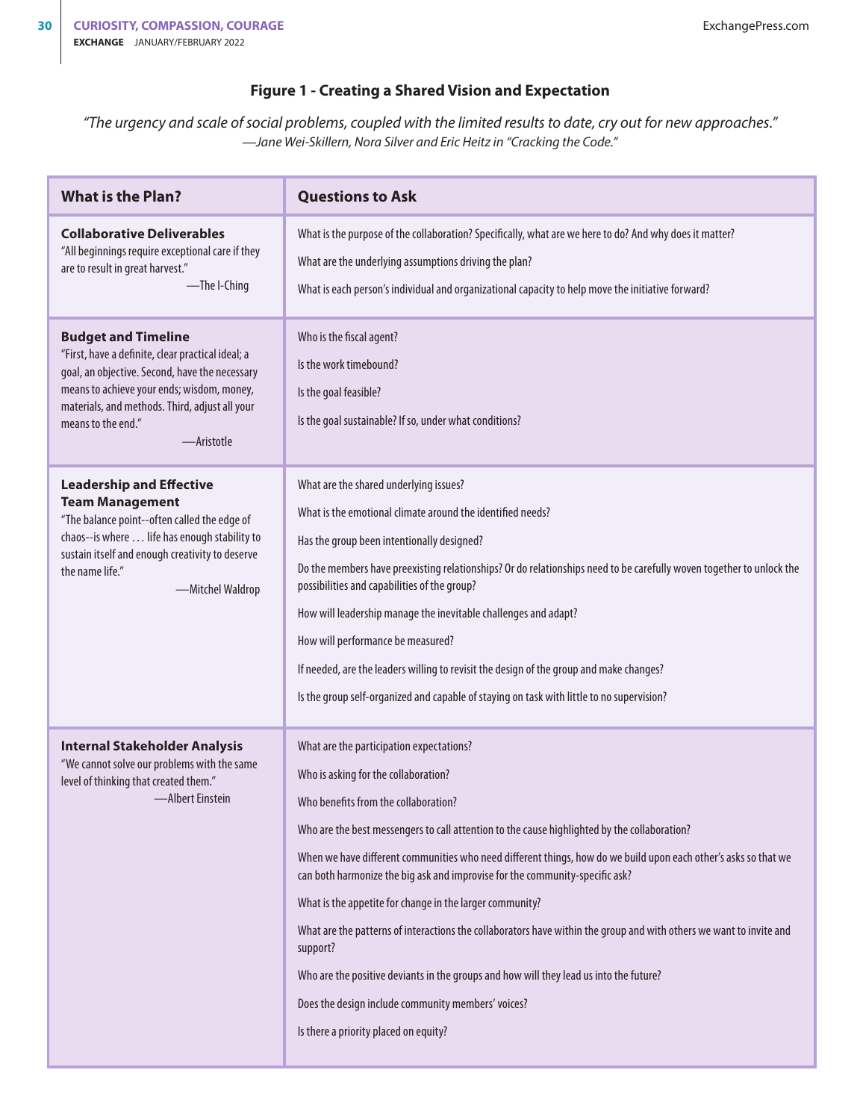#### **Figure 1 - Creating a Shared Vision and Expectation**

*"The urgency and scale of social problems, coupled with the limited results to date, cry out for new approaches." —Jane Wei-Skillern, Nora Silver and Eric Heitz in "Cracking the Code."*

| <b>What is the Plan?</b>                                                                                                                                                                                                                                              | <b>Questions to Ask</b>                                                                                                                                                                                                                                                                                                                                                                                                                                                                                                                                                                                                                                                                                                                                                                                             |
|-----------------------------------------------------------------------------------------------------------------------------------------------------------------------------------------------------------------------------------------------------------------------|---------------------------------------------------------------------------------------------------------------------------------------------------------------------------------------------------------------------------------------------------------------------------------------------------------------------------------------------------------------------------------------------------------------------------------------------------------------------------------------------------------------------------------------------------------------------------------------------------------------------------------------------------------------------------------------------------------------------------------------------------------------------------------------------------------------------|
| <b>Collaborative Deliverables</b><br>"All beginnings require exceptional care if they<br>are to result in great harvest."<br>-The I-Ching                                                                                                                             | What is the purpose of the collaboration? Specifically, what are we here to do? And why does it matter?<br>What are the underlying assumptions driving the plan?<br>What is each person's individual and organizational capacity to help move the initiative forward?                                                                                                                                                                                                                                                                                                                                                                                                                                                                                                                                               |
| <b>Budget and Timeline</b><br>"First, have a definite, clear practical ideal; a<br>goal, an objective. Second, have the necessary<br>means to achieve your ends; wisdom, money,<br>materials, and methods. Third, adjust all your<br>means to the end."<br>-Aristotle | Who is the fiscal agent?<br>Is the work timebound?<br>Is the goal feasible?<br>Is the goal sustainable? If so, under what conditions?                                                                                                                                                                                                                                                                                                                                                                                                                                                                                                                                                                                                                                                                               |
| <b>Leadership and Effective</b><br><b>Team Management</b><br>"The balance point--often called the edge of<br>chaos--is where life has enough stability to<br>sustain itself and enough creativity to deserve<br>the name life."<br>-Mitchel Waldrop                   | What are the shared underlying issues?<br>What is the emotional climate around the identified needs?<br>Has the group been intentionally designed?<br>Do the members have preexisting relationships? Or do relationships need to be carefully woven together to unlock the<br>possibilities and capabilities of the group?<br>How will leadership manage the inevitable challenges and adapt?<br>How will performance be measured?<br>If needed, are the leaders willing to revisit the design of the group and make changes?<br>Is the group self-organized and capable of staying on task with little to no supervision?                                                                                                                                                                                          |
| <b>Internal Stakeholder Analysis</b><br>"We cannot solve our problems with the same<br>level of thinking that created them."<br>-Albert Einstein                                                                                                                      | What are the participation expectations?<br>Who is asking for the collaboration?<br>Who benefits from the collaboration?<br>Who are the best messengers to call attention to the cause highlighted by the collaboration?<br>When we have different communities who need different things, how do we build upon each other's asks so that we<br>can both harmonize the big ask and improvise for the community-specific ask?<br>What is the appetite for change in the larger community?<br>What are the patterns of interactions the collaborators have within the group and with others we want to invite and<br>support?<br>Who are the positive deviants in the groups and how will they lead us into the future?<br>Does the design include community members' voices?<br>Is there a priority placed on equity? |